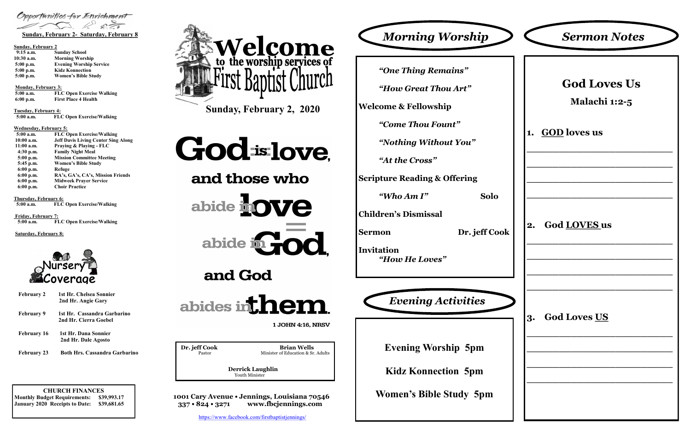**CHURCH FINANCES Monthly Budget Requirements: \$39,993.17 January 2020 Receipts to Date: \$39,681.65**  **Derrick Laughlin** Youth Minister

**1001 Cary Avenue • Jennings, Louisiana 70546 337 • 824 • 3271 www.fbcjennings.com**

**Sunday, February 2, 2020**

# Godislove,

and those who

abide **hove** 



and God



1 JOHN 4:16, NRSV

**Dr. jeff Cook Brian Wells**<br>Pastor Basser Minister of Education & Sr.

Minister of Education & Sr. Adults



Opportunities for Enrichment

#### **Sunday, February 2**

| $9:15$ a.m.  | <b>Sunday School</b>           |
|--------------|--------------------------------|
| $10:30$ a.m. | <b>Morning Worship</b>         |
| $5:00$ p.m.  | <b>Evening Worship Service</b> |
| $5:00$ p.m.  | <b>Kidz Konnection</b>         |
| 5:00 p.m.    | <b>Women's Bible Study</b>     |

**Monday, February 3:** 

**5:00 a.m. FLC Open Exercise Walking 6:00 p.m. First Place 4 Health**

**Tuesday, February 4:**

 **5:00 a.m. FLC Open Exercise/Walking**

#### **Wednesday, February 5:**

| 5:00 a.m.    | <b>FLC Open Exercise/Walking</b>           |
|--------------|--------------------------------------------|
| $10:00$ a.m. | <b>Jeff Davis Living Center Sing Along</b> |
| $11:00$ a.m. | Praying & Playing - FLC                    |
| $4:30$ p.m.  | <b>Family Night Meal</b>                   |
| $5:00$ p.m.  | <b>Mission Committee Meeting</b>           |
| 5:45 p.m.    | <b>Women's Bible Study</b>                 |
| $6:00$ p.m.  | Refuge                                     |
| $6:00$ p.m.  | RA's, GA's, CA's, Mission Friends          |
| $6:00$ p.m.  | <b>Midweek Praver Service</b>              |
| $6:00$ p.m.  | <b>Choir Practice</b>                      |

**Thursday, February 6:**

 **5:00 a.m. FLC Open Exercise/Walking**

**Friday, February 7: 5:00 a.m. FLC Open Exercise/Walking**

**Saturday, February 8:**



*"One Thing Remains"*

*"How Great Thou Art"*

**Welcome & Fellowship**

*"Come Thou Fount"*

*"Nothing Without You"*

*"At the Cross"*

**Scripture Reading & Offering**

*"Who Am I"* **Solo**

**Children's Dismissal**

**Sermon Dr. jeff Cook**

**Invitation**  *"How He Loves"*



**Evening Worship 5pm**

**Kidz Konnection 5pm**

**Women's Bible Study 5pm**



**February 2 1st Hr. Chelsea Sonnier 2nd Hr. Angie Gary February 9 1st Hr. Cassandra Garbarino 2nd Hr. Cierra Goebel February 16 1st Hr. Dana Sonnier**

|  |  | 2nd Hr. Dale Agosto |
|--|--|---------------------|
|  |  |                     |

**February 23 Both Hrs. Cassandra Garbarino**

<https://www.facebook.com/firstbaptistjennings/>